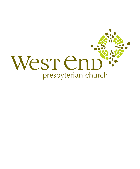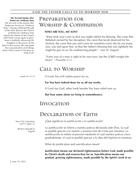**The Second Sunday after Pentecost: Ordinary Time**

We are now in the season after Pentecost, known as "Ordinary Time." Having celebrated the gift of the Holy Spirit to the Church at Pentecost, Ordinary Time signals the interim of the Church until Christ comes again in glory. Jesus is faithfully advancing His Kingdom in the power of His Spirit in this season. We anticipate the consummation of all things when Christ comes in His glory as King of all.

# Preparation for Worship & Communion

### **WHO ARE YOU, MY SON?**

"Jesus took your curse so that you might inherit his blessing. The curse that Rebekah earned by her deception, the curse that Jacob deserved for his trickery, the curse that you and I earn for ourselves every day by our many sins, was laid upon him, so that the Father's blessing that was rightfully his might be give to us, his undeserving people." *--Iain M. Duguid*

"Every way of a man is right in his own eyes, but the LORD weighs the heart." *--Proverbs 21:2*

# CALL TO WORSHIP

*Isaiah 26:12-13* O Lord, You will ordain peace for us,

#### **For You have indeed done for us all our works.**

O Lord our God, other lords besides You have ruled over us,

**But Your name alone we bring to remembrance.**

## Invocation

## Declaration of Faith

¿Qué significan la justificación y la santificación?

La justificación se refiere a nuestra justicia declarada ante Dios, la cual es posible gracias a la muerte y resurrección de Cristo por nosotros. La santificación se refiere al proceso mediante el cual nuestra justicia crece gradualmente, el cual es posible gracias a la obra del Espíritu en nosotros.

What do justification and sanctification mean?

**Justification means our declared righteousness before God, made possible by Christ's death and resurrection for us. Sanctification means our gradual, growing righteousness, made possible by the Spirit's work in us.**

New City Catechism (2017), Q&A 32

> Read in Spanish & English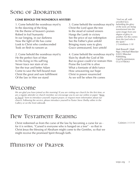# Song of Adoration

#### **COME BEHOLD THE WONDROUS MYSTERY**

1. Come behold the wondrous myst'ry In the dawning of the King He the theme of heaven's praises Robed in frail humanity In our longing, in our darkness Now the light of life has come Look to Christ who condescended Took on flesh to ransom us

2. Come behold the wondrous myst'ry He the perfect Son of Man In His living in His suff'ring Never trace nor stain of sin See the true and better Adam Come to save the hell-bound man Christ the great and sure fulfillment Of the law in Him we stand

3. Come behold the wondrous myst'ry Christ the Lord upon the tree In the stead of ruined sinners Hangs the Lamb in victory See the price of our redemption See the Father's plan unfold Bringing many sons to glory Grace unmeasured, love untold

4. Come behold the wondrous myst'ry Slain by death the God of life But no grave could e'er restrain Him Praise the Lord He is alive What a foretaste of deliv'rance How unwavering our hope Christ in power resurrected As we will be when He comes

*"And we all, with unveiled face, beholding the glory of the Lord, are being transformed into the same image from one degree of glory to another. For this comes from the Lord who is the Spirit." 2 Corinthians 3:18*

Matt Boswell | Matt Papa | Michael Bleecker ©2012 Bleecker Publishing. Used by permission. CCLI #708363

# Welcome

*We are glad you have joined us this morning! If you are visiting our church for the first time, or are a regular attender or church member, we encourage you to use our online or paper "Keep in Touch" form to introduce yourself, request prayer, or request more information about our church. Following the service, please introduce yourself to Pastor Steve Shelby either in the Gallery or on the front sidewalk.*

# New Testament Reading

Christ redeemed us from the curse of the law by becoming a curse for us for it is written, "Cursed is everyone who is hanged on a tree" - so that in Christ Jesus the blessing of Abraham might come to the Gentiles, so that we might receive the promised Spirit through faith.

# Ministry of Prayer

*Galatians 3:13-14*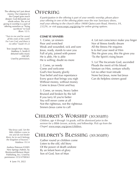The offering isn't just about money. Our response to the Gospel goes much deeper; God demands our whole selves. The act of giving in worship is a part of offering ourselves as "living sacrifices" to God (Rom. 12:1).

*"Turn to me and be saved, all the ends of the earth! For I am God, and there is no other." Isaiah 45:22*

Text: Joseph Hart. Music: Matthew S. Smith © detuned radio music (ASCAP). Used by permission.

### **OFFERING**

*If participation in the offering is part of your weekly worship, please place your offering in one of the offering plates near the rear Sanctuary doors, mail your offering to the church office (9008 Quioccasin Road, Henrico, VA, 23229), or visit www.wepc.org/giving for online giving options.*

#### **COME YE SINNERS**

1. Come, ye sinners Poor and wretched Weak and wounded, sick and sore Jesus, ready, stands to save you Full of pity, joined with power He is able, He is able He is willing; doubt no more

2. Come, ye needy Come and welcome God's free bounty glorify True belief and true repentance Every grace that brings you nigh Without money, without money Come to Jesus Christ and buy

3. Come, ye weary, heavy laden Bruised and broken by the fall If you tarry til you're better You will never come at all Not the righteous, not the righteous Sinners Jesus came to call

4. Let not conscience make you linger Nor of fitness fondly dream All the fitness He requires Is to feel your need of Him This He gives you, this He gives you 'Tis the Spirit's rising beam

5. Lo! The Incarnate God, ascended Pleads the merit of His blood Venture on Him, venture wholly Let no other trust intrude None but Jesus, none but Jesus Can do helpless sinners good

# CHILDREN'S WORSHIP (10:30am)

*Children, age 4 through 1st grade, will be dismissed prior to the sermon for a Bible Lesson, activity, and fellowship. Pick up from the Chapel. www.wepc.org/grow/children* 

# CHILDREN'S BLESSING (10:30am)

Gather round ye children come Listen to the old, old Story Of the power of death undone By an Infant born of glory Son of God, Son of Man

*"But Jesus said, 'Let the little children come to me and do not hinder them, for to such belongs the kingdom of heaven.'" Matthew 19:14*

Andrew Peterson ©2005 New Springs (Admin. by Brentwood-Benson Music Publishing, Inc.) Used by permission. CCLI #708363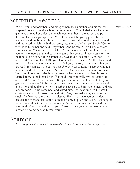# SCRIPTURE Reading

<sup>14</sup>So he went and took them and brought them to his mother, and his mother prepared delicious food, such as his father loved. 15Then Rebekah took the best garments of Esau her older son, which were with her in the house, and put them on Jacob her younger son. 16And the skins of the young goats she put on his hands and on the smooth part of his neck. <sup>17</sup>And she put the delicious food and the bread, which she had prepared, into the hand of her son Jacob. 18So he went in to his father and said, "My father." And he said, "Here I am. Who are you, my son?" 19Jacob said to his father, "I am Esau your firstborn. I have done as you told me; now sit up and eat of my game, that your soul may bless me."<sup>20</sup>But Isaac said to his son, "How is it that you have found it so quickly, my son?" He answered, "Because the LORD your God granted me success." <sup>21</sup>Then Isaac said to Jacob, "Please come near, that I may feel you, my son, to know whether you are really my son Esau or not." <sup>22</sup>So Jacob went near to Isaac his father, who felt him and said, "The voice is Jacob's voice, but the hands are the hands of Esau." <sup>23</sup>And he did not recognize him, because his hands were hairy like his brother Esau's hands. So he blessed him. 24He said, "Are you really my son Esau?" He answered, "I am." 25Then he said, "Bring it near to me, that I may eat of my son's game and bless you." So he brought it near to him, and he ate; and he brought him wine, and he drank. <sup>26</sup>Then his father Isaac said to him, "Come near and kiss me, my son." <sup>27</sup>So he came near and kissed him. And Isaac smelled the smell of his garments and blessed him and said, "See, the smell of my son is as the smell of a field that the LORD has blessed! <sup>28</sup>May God give you of the dew of heaven and of the fatness of the earth and plenty of grain and wine. <sup>29</sup>Let peoples serve you, and nations bow down to you. Be lord over your brothers,and may your mother's sons bow down to you. Cursed be everyone who curses you,and blessed be everyone who blesses you!"

# Sermon

*A Worship guide with sermon notes and recordings is posted each Sunday at wepc.org/sermons.*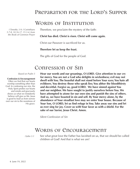### Preparation for the Lord's Supper

### WORDS OF INSTITUTION

Therefore, we proclaim the mystery of the faith:

#### **Christ has died. Christ is risen. Christ will come again.**

Christ our Passover is sacrificed for us.

#### **Therefore let us keep the feast.**

The gifts of God for the people of God.

### Confession of Sin

*Based on Psalm 5*

#### **Confession & Encouragement**

Often we find that our hearts worship something other than God. In confessing our sins, the Holy Spirit probes our hearts and minds and graciously shows us what we mistakenly believe will give us life. Jesus is good to lead us from sorrow over our sin to the sweetness of His grace.

**Hear our words and our groanings, O LORD. Give attention to our cry for mercy. You are not a God who delights in wickedness; evil may not dwell with You. The boastful shall not stand before Your eyes; You hate all evildoers. You destroy those who speak lies; You abhor the bloodthirsty and deceitful. Forgive us, good LORD. We have sinned against You and our neighbor. We have sought to justify ourselves before You. We have attempted to atone for our own sins and punish the sins of others. And so, we have boasted in sin and self. By Your mercy alone, by the abundance of Your steadfast love may we enter Your house. Because of Your Son, O LORD, let us find refuge in You. Take away our sins and let us ever sing for joy. Cover us with Your favor as with a shield. For the sake of our Savior, Jesus Christ. Amen.**

*Silent Confession of Sin*

## WORDS OF ENCOURAGEMENT

See what great love the Father has lavished on us, that we should be called children of God! And that is what we are! *I John 3:1*

*I Timothy 3:9; I Corinthians 5:7-8, 10:16-17, 15:3-4; from the Book of Common Prayer*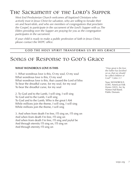# The Sacrament of the Lord's Supper

*West End Presbyterian Church welcomes all baptized Christians who actively trust in Jesus Christ for salvation, who are willing to forsake their sin and heart-idols, and who are members of congregations that proclaim the Gospel, to participate in the sacrament of the Lord's Supper with us.The Elders presiding over the Supper are praying for you as the congregation participates in the sacrament.* 

*If your child is ready to make a public profession of faith in Jesus Christ, please contact the WEPC office.*

#### **GOD THE HOLY SPIRIT TRANSFORMS US BY HIS GRACE**

# Songs of Response to God's Grace

#### **WHAT WONDROUS LOVE IS THIS**

1. What wondrous love is this, O my soul, O my soul What wondrous love is this, O my soul What wondrous love is this, that caused the Lord of bliss To bear the dreadful curse, for my soul, for my soul To bear the dreadful curse, for my soul

2. To God and to the Lamb, I will sing, I will sing To God and to the Lamb, I will sing To God and to the Lamb, Who is the great I AM While millions join the theme, I will sing, I will sing While millions join the theme, I will sing

3. And when from death I'm free, I'll sing on, I'll sing on And when from death I'm free, I'll sing on And when from death I'm free, I'll sing and joyful be And through eternity I'll sing on, I'll sing on And through eternity I'll sing on

*"How great is the love the Father has lavished on us, that we should be called children of God!" 1 John 3:1*

Tune: WONDROUS LOVE. American Folk Hymn (1835). Arr. by Norton Hall Band. Public Domain.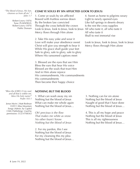*cleanses us from all sin." I John 1:7*

> Robert Lowry (1876) Tune: PLAINFIELD, Robert Lowry (1876) Public Domain

#### **COME YE SOULS BY SIN AFFLICTED (LOOK TO JESUS)** *"The blood of Jesus, His Son,*

1. Come ye souls by sin afflicted Bowed with fruitless sorrow down By the broken law convicted Through the cross behold the crown Look to Jesus, look to Jesus, look to Jesus All who taste it, all who taste it Mercy flows through Him alone

2. Take His easy yoke and wear it Love will make your obedience sweet Christ will give you strength to bear it While His grace shall guide your feet Safe to glory, safe to glory, safe to glory Where His ransomed captives meet

3. Blessed are the eyes that see Him Bless the ears that hear His voice Blessed are the souls that trust Him And in Him alone rejoice His commandments, His commandments His commandments Then become their happy choice

4. Sweet as home to pilgrims weary Light to newly opened eyes Like full springs in deserts dreary Is the rest the cross supplies All who taste it Shall to rest immortal rise

Look to Jesus, look to Jesus, look to Jesus Mercy flows through Him alone

*and all that is within me, bless His holy name!" Psalm 103:1*

Jonas Myrin | Matt Redman ©2011 Atlas Mountain Songs (Admin. by Capitol CMG Publishing). Used by permission. CCLI #708363

#### *"Bless the LORD, O my soul,* **NOTHING BUT THE BLOOD**

1. What can wash away my sin Nothing but the blood of Jesus What can make me whole again Nothing but the blood of Jesus…

*Oh! precious is the flow That makes me white as snow No other fount I know Nothing but the blood of Jesus*

2. For my pardon, this I see Nothing but the blood of Jesus For my cleansing this my plea Nothing but the blood of Jesus…

3. Nothing can for sin atone Nothing but the blood of Jesus Naught of good that I have done Nothing but the blood of Jesus…

4. This is all my hope and peace Nothing but the blood of Jesus This is all my righteousness Nothing but the blood of Jesus…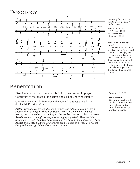# Doxology



### Benediction

"Rejoice in hope, be patient in tribulation, be constant in prayer. Contribute to the needs of the saints and seek to show hospitality."

*Our Elders are available for prayer at the front of the Sanctuary following the 9 & 10:30 AM services.*

*Pastor Steve Shelby preached today's sermon and administered the Lord's supper. Elder & Neighborhood Outreach Director Chanjwok Deng led worship. Mark & Rebecca Crutcher, Rachel Becker, Gordon Collier, and Troy Arnold led this morning's congregational singing. Ligdabeth Shea read the declaration of faith. Rebekah Blackburn read the New Testament reading. Andy Becker and Deacon Chris May managed today's audio and video live stream. Cody Hahn managed the in-house video system.* 

*"Let everything that has breath praise the Lord." Psalm 150:6* 

Text: Thomas Ken (1709) Tune: OLD HUNDREDTH (Bourgeois, 1551)

#### **What does "doxology" mean?**

It's derived from two Greek words meaning "glory" and "word." A doxology, then, is a spoken word or song that ascribes glory to God. Today's doxology calls all of creation to praise God as the source of all blessing and acknowledges His Trinitarian (three-in-one) nature.

*Romans 12:12-13*

#### **The Last Word**

God always has the last word in our worship. For those who are in Christ Jesus, these are always words of blessing.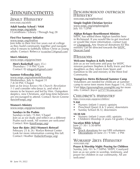# Announcements

### Adult Ministry

*www.wepc.org/adults*

**Adult Sunday School / 9AM** www.wepc.org/adults I Corinthians / Library / Through Aug 28

#### **First Five Summer Initiative**

www.wepc.org/firstfive

Join folks in their first five years out of college as they build community together and navigate what it means to faithfully follow Christ as young adults. Contact: Rebecca (rcrutcher72@gmail.com)

#### **Men's Ministry**

www.wepc.org/grow/men

**Men's Basketball** (ages 35+)<br>Thursdays / 7-9 PM / Gym Contact: EJ (efogarty@gmail.com)

#### **Summer Fellowship 2022**

www.wepc.org/summerfellowship Wednesdays, July 6- August 31 7-8:30 PM / Chapel Join us for *Jesus Knows His Church*: *Revelation 1-3* and consider who Jesus is, and what it means to be known and led by Him. Outspoken skeptics, new Christians, and long-time believers are encouraged to attend. Contact: Kevin Greene (kevin@wepc.org)

#### **Women's Ministry**

www.wepc.org/grow/women

#### **Sundays in the Psalms**

Sundays in July / 9 AM / Chapel Join us as we study and reflect on a different Psalm each week. All women are welcome! Contact: Kim (kim@wepc.org)

#### **Save the date: 2023 Women's Retreat!**

February 25 & 26 / Roslyn Retreat Center Look for more information coming this fall. Contact: Heather (hoberle@wepc.org)

### Neighborhood outreach Ministry

*www.wepc.org/neighborhood* 

### **Simple English Christian Service**

www.wepc.org/simpleenglish July 10 / 12PM

### **Afghan Refugee Resettlement Ministry**

WEPC has settled three Afghan families here in Richmond. If you would like to get involved or would like more information, contact Lori or <u>Changjwok.</u> Any financial donations for this ministry can be directed towards the WEPC Deacon Fund.

### Missions

### **Welcome Stephen & Kelly Irwin!**

Join us as we welcome and pray for WEPC mission partners Stephen & Kelly Irwin and their daughters as they return from Spain and transition to life and ministry in the West End Community.

#### **Young***Lives* **Metro Richmond Summer Camp**

Volunteers are needed for childcare at summer camp to serve teen moms from August 1-6, 2022. Visit https://goyounglives.younglife.org for more info. Contact: Joyce (jcl7577@comcast.net)

### Children's ministry

*https://www.wepc.org/grow/children/*

- **9 AM**<br>• Nursery (infant-3 years); upstairs
- Preschool Quest (4 & 5 years); downstairs
- Sunday School (K-5); downstairs

- **10:30 AM**<br>• Nursery (infant-3 years old); upstairs
- Children's Worship (4 years-1st grade); Chapel

#### **Vacation Bible School**

June 27-30 / 5:30-8PM

Needs:

- Snack donations for our VBS volunteers Decorations on June 23 / 9 AM 2 PM
- 

#### WORSHIP ARTS MINISTRV *www.wepc.org/*

**Prayer & Worship Night: Praying for Children** Sunday, July 10 / 6-7:30PM / WEPC Courtyard Join us as we unite in worship, testimony, and prayer for children in our community. All are welcome!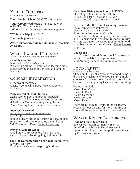### Vouth Ministry

*www.wepc.org/grow/youth*

#### **Youth Sunday School:** 9AM / Youth Lounge

**Youth Group: Wednesdays** (June 22, July 6) 6:30-8PM / Youth Lounge *\*Middle & High School groups meet together*

#### **757 Service Trip:** July 10-15

**The Landing:** July 31-Aug 5

*Please visit our website for the summer calendar of events.*

### Wrap-Around Ministry

*www.wepc.org/outreach/wrap-around-ministry/*

#### **Monthly Meeting**

Sunday, June 26 / 9AM / Rm. 19 Welcoming all those interested in learning more about serving those in foster care and families in crisis.

### General information

#### **Deacons of the Week**

Davison Long, Chris Perry, Mike Glasgow, & Karl Kuder

#### **Welcome WEPC Youth Interns!**

Make sure to greet and pray for Rebekah Blackburn, Caleb Jacoby, Hayden McMahon, & Catherine Wilks who are joining the WEPC Youth Ministry team as interns this summer!

#### **Inquirer's Weekend**

www.wepc.org/inquirersweekend

July 29-31 Join us to learn about our church history, beliefs, ministries, and how to become a member at WEPC. Contact: Karen (karen@wepc.org)

**Prayer & Support Group**<br>Email pray4fam@wepc.org for prayer and support for couples struggling with infertility.

**Save the Date: American Red Cross Blood Drive** July 24 / 12-4 PM To sign up, visit www.wepc.org/arcdrive

**Fiscal Year Giving Report (as of 6/12/22):**

Operating gifts YTD: \$2,076,790.66 Forecasted gifts YTD: \$2,065,020.87 % of expected budget received: 100.57

#### **Save the Date: The Church as Refuge Seminar**

www.wepc.org/churchrefuge October 1 / 8:30AM-12:30PM Stony Point Presbyterian Church Come hear Dr. Diane Langberg discuss power and its abuse and the church's response in truth and grace; offered by WEPC & other Richmond churches and ministries. Contact: Kevin (kevin@ wepc.org)

#### **Counseling**

Lara Finnie, Licensed Professional Counselor at WEPC, is available by appointment. Visit Abiding Branches for more information.

### Food Pantry

#### *www.wepc.org/foodpantry*

Check out this great way to donate food items to the WEPC In Jesus' Name Food Pantry! Simply choose a Food Item "team" and add those items to your personal grocery list each time you shop.

Examples include:

- •Team Flour/Sugar
- •Team Oil/Salt
- •Team Garbanzo
- •Team Tomato
- •Team Peach

There are no formal signups for these teams. Please visit our website for more information about all the ways to donate to the food pantry.

### World Relief Resources

#### **Ukraine Crisis Church Fund**

See WEPC mission partners Mission to the World's website & Serge's website for opportunities to give and support those affected by the crisis in Ukraine.